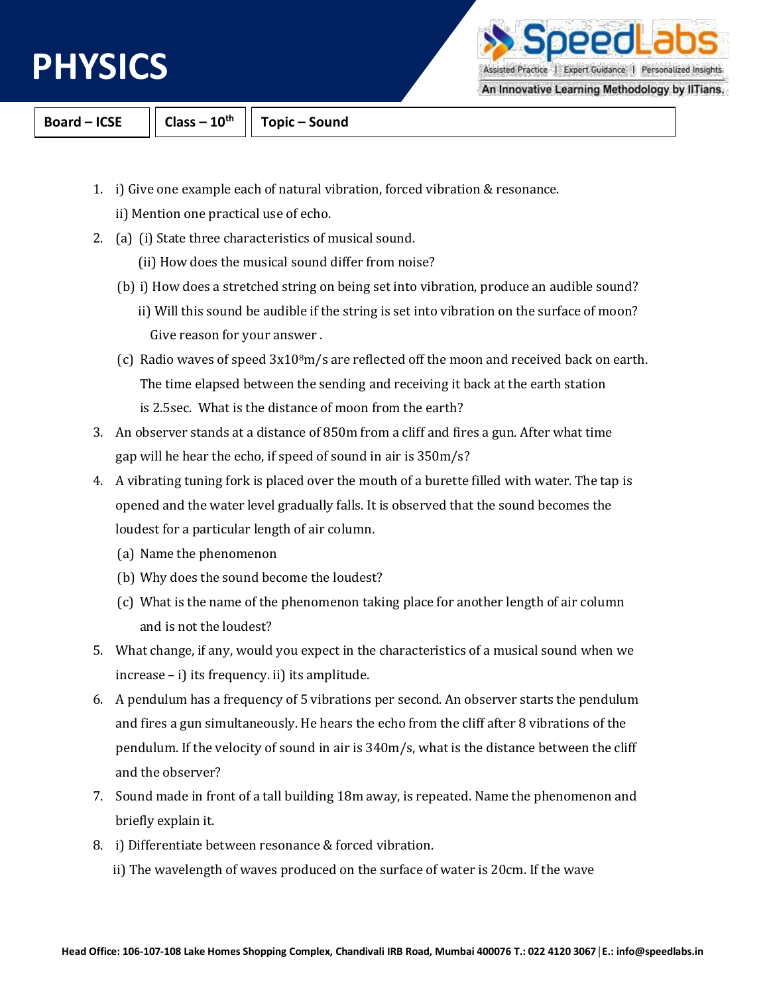

Assisted Practice | Expert Guidance | Personalized Insights

An Innovative Learning Methodology by IITians.

- 1. i) Give one example each of natural vibration, forced vibration & resonance. ii) Mention one practical use of echo.
- 2. (a) (i) State three characteristics of musical sound.
	- (ii) How does the musical sound differ from noise?
	- (b) i) How does a stretched string on being set into vibration, produce an audible sound? ii) Will this sound be audible if the string is set into vibration on the surface of moon? Give reason for your answer .
	- (c) Radio waves of speed  $3x10<sup>8</sup>m/s$  are reflected off the moon and received back on earth. The time elapsed between the sending and receiving it back at the earth station is 2.5sec. What is the distance of moon from the earth?
- 3. An observer stands at a distance of 850m from a cliff and fires a gun. After what time gap will he hear the echo, if speed of sound in air is 350m/s?
- 4. A vibrating tuning fork is placed over the mouth of a burette filled with water. The tap is opened and the water level gradually falls. It is observed that the sound becomes the loudest for a particular length of air column.
	- (a) Name the phenomenon
	- (b) Why does the sound become the loudest?
	- (c) What is the name of the phenomenon taking place for another length of air column and is not the loudest?
- 5. What change, if any, would you expect in the characteristics of a musical sound when we increase – i) its frequency. ii) its amplitude.
- 6. A pendulum has a frequency of 5 vibrations per second. An observer starts the pendulum and fires a gun simultaneously. He hears the echo from the cliff after 8 vibrations of the pendulum. If the velocity of sound in air is 340m/s, what is the distance between the cliff and the observer?
- 7. Sound made in front of a tall building 18m away, is repeated. Name the phenomenon and briefly explain it.
- 8. i) Differentiate between resonance & forced vibration.
	- ii) The wavelength of waves produced on the surface of water is 20cm. If the wave